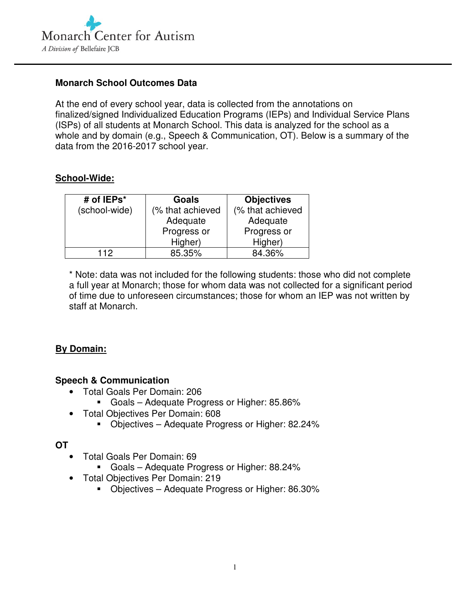

### **Monarch School Outcomes Data**

At the end of every school year, data is collected from the annotations on finalized/signed Individualized Education Programs (IEPs) and Individual Service Plans (ISPs) of all students at Monarch School. This data is analyzed for the school as a whole and by domain (e.g., Speech & Communication, OT). Below is a summary of the data from the 2016-2017 school year.

### **School-Wide:**

| # of IEPs*    | Goals            | <b>Objectives</b> |
|---------------|------------------|-------------------|
| (school-wide) | (% that achieved | (% that achieved  |
|               | Adequate         | Adequate          |
|               | Progress or      | Progress or       |
|               | Higher)          | Higher)           |
| 112           | 85.35%           | 84.36%            |

\* Note: data was not included for the following students: those who did not complete a full year at Monarch; those for whom data was not collected for a significant period of time due to unforeseen circumstances; those for whom an IEP was not written by staff at Monarch.

## **By Domain:**

#### **Speech & Communication**

- Total Goals Per Domain: 206
	- Goals Adequate Progress or Higher: 85.86%
- Total Objectives Per Domain: 608
	- **Diectives Adequate Progress or Higher: 82.24%**

#### **OT**

- Total Goals Per Domain: 69
	- Goals Adequate Progress or Higher: 88.24%
- Total Objectives Per Domain: 219
	- Objectives Adequate Progress or Higher: 86.30%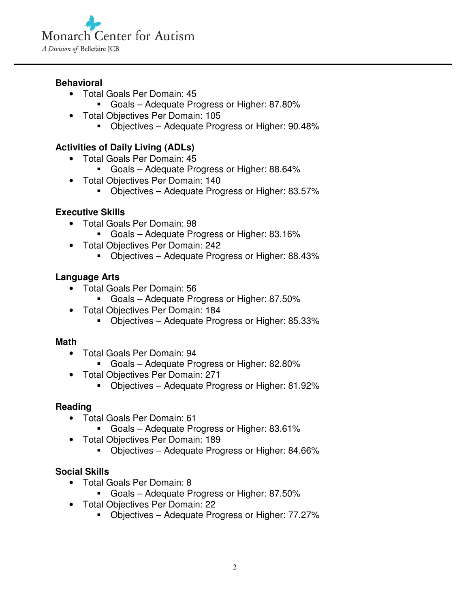

### **Behavioral**

- Total Goals Per Domain: 45
	- Goals Adequate Progress or Higher: 87.80%
- Total Objectives Per Domain: 105
	- Objectives Adequate Progress or Higher: 90.48%

# **Activities of Daily Living (ADLs)**

- Total Goals Per Domain: 45
	- Goals Adequate Progress or Higher: 88.64%
- Total Objectives Per Domain: 140
	- Objectives Adequate Progress or Higher: 83.57%

## **Executive Skills**

- Total Goals Per Domain: 98
	- Goals Adequate Progress or Higher: 83.16%
- Total Objectives Per Domain: 242
	- **Diectives Adequate Progress or Higher: 88.43%**

### **Language Arts**

- Total Goals Per Domain: 56
	- Goals Adequate Progress or Higher: 87.50%
- Total Objectives Per Domain: 184
	- Objectives Adequate Progress or Higher: 85.33%

#### **Math**

- Total Goals Per Domain: 94
	- Goals Adequate Progress or Higher: 82.80%
- Total Objectives Per Domain: 271
	- Objectives Adequate Progress or Higher: 81.92%

#### **Reading**

- Total Goals Per Domain: 61
	- Goals Adequate Progress or Higher: 83.61%
- Total Objectives Per Domain: 189
	- Objectives Adequate Progress or Higher: 84.66%

## **Social Skills**

- Total Goals Per Domain: 8
	- Goals Adequate Progress or Higher: 87.50%
- Total Objectives Per Domain: 22
	- Objectives Adequate Progress or Higher: 77.27%